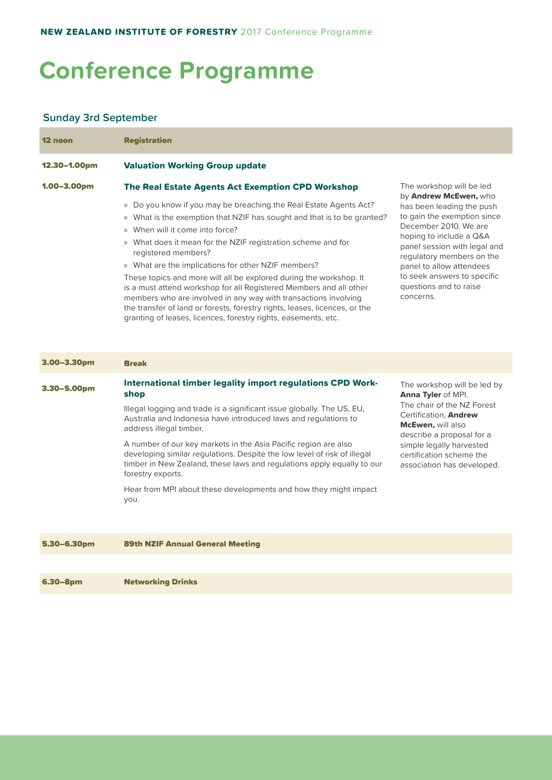# **Conference Programme**

### **Sunday 3rd September**

| 12 noon          | <b>Registration</b>                                                                                                                                                                                                                                                                                                                                                                                                                                                           |                                                                                                                                                                                                                                                                                                                                  |
|------------------|-------------------------------------------------------------------------------------------------------------------------------------------------------------------------------------------------------------------------------------------------------------------------------------------------------------------------------------------------------------------------------------------------------------------------------------------------------------------------------|----------------------------------------------------------------------------------------------------------------------------------------------------------------------------------------------------------------------------------------------------------------------------------------------------------------------------------|
| 12.30-1.00pm     | <b>Valuation Working Group update</b>                                                                                                                                                                                                                                                                                                                                                                                                                                         |                                                                                                                                                                                                                                                                                                                                  |
| $1.00 - 3.00$ pm | <b>The Real Estate Agents Act Exemption CPD Workshop</b><br>» Do you know if you may be breaching the Real Estate Agents Act?<br>What is the exemption that NZIF has sought and that is to be granted?<br>$\gg$<br>When will it come into force?<br>$\gg$<br>» What does it mean for the NZIF registration scheme and for<br>registered members?<br>» What are the implications for other NZIF members?<br>These topics and more will all be explored during the workshop. It | The workshop will be led<br>by Andrew McEwen, who<br>has been leading the push<br>to gain the exemption since<br>December 2010. We are<br>hoping to include a Q&A<br>panel session with legal and<br>regulatory members on the<br>panel to allow attendees<br>to seek answers to specific<br>questions and to raise<br>concerns. |
|                  | is a must attend workshop for all Registered Members and all other<br>members who are involved in any way with transactions involving<br>the transfer of land or forests, forestry rights, leases, licences, or the<br>granting of leases, licences, forestry rights, easements, etc.                                                                                                                                                                                         |                                                                                                                                                                                                                                                                                                                                  |

| $3.00 - 3.30$ pm | <b>Break</b>                                                                                                                                                                                                                                                                                                                                                                                                                                                                                                                                                                |                                                                                                                                                                                                                                                                       |
|------------------|-----------------------------------------------------------------------------------------------------------------------------------------------------------------------------------------------------------------------------------------------------------------------------------------------------------------------------------------------------------------------------------------------------------------------------------------------------------------------------------------------------------------------------------------------------------------------------|-----------------------------------------------------------------------------------------------------------------------------------------------------------------------------------------------------------------------------------------------------------------------|
| $3.30 - 5.00pm$  | <b>International timber legality import regulations CPD Work-</b><br>shop<br>Illegal logging and trade is a significant issue globally. The US, EU,<br>Australia and Indonesia have introduced laws and regulations to<br>address illegal timber.<br>A number of our key markets in the Asia Pacific region are also<br>developing similar regulations. Despite the low level of risk of illegal<br>timber in New Zealand, these laws and regulations apply equally to our<br>forestry exports.<br>Hear from MPI about these developments and how they might impact<br>you. | The workshop will be led by<br><b>Anna Tyler of MPI.</b><br>The chair of the NZ Forest<br>Certification, <b>Andrew</b><br><b>McEwen, will also</b><br>describe a proposal for a<br>simple legally harvested<br>certification scheme the<br>association has developed. |
| 5.30-6.30pm      | <b>89th NZIF Annual General Meeting</b>                                                                                                                                                                                                                                                                                                                                                                                                                                                                                                                                     |                                                                                                                                                                                                                                                                       |

6.30–8pm Networking Drinks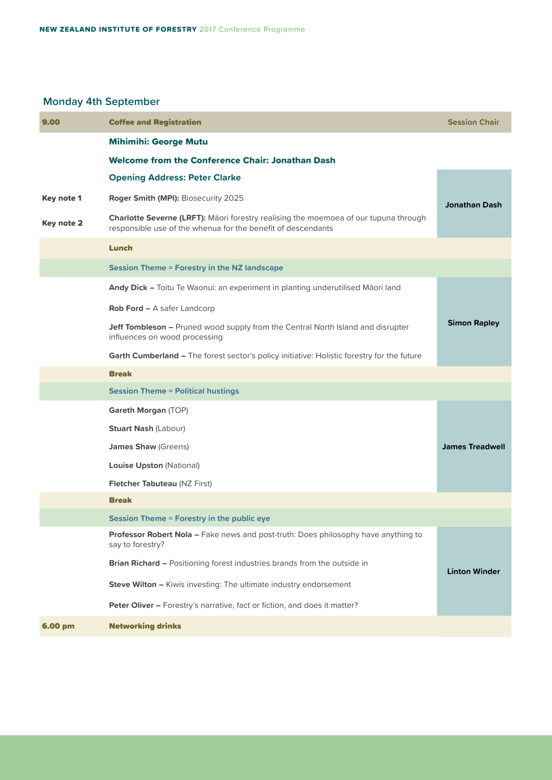# **Monday 4th September**

| 9.00       | <b>Coffee and Registration</b>                                                                                                                       | <b>Session Chair</b>   |  |
|------------|------------------------------------------------------------------------------------------------------------------------------------------------------|------------------------|--|
|            | <b>Mihimihi: George Mutu</b>                                                                                                                         |                        |  |
|            | <b>Welcome from the Conference Chair: Jonathan Dash</b>                                                                                              |                        |  |
|            | <b>Opening Address: Peter Clarke</b>                                                                                                                 |                        |  |
| Key note 1 | Roger Smith (MPI): Biosecurity 2025                                                                                                                  | Jonathan Dash          |  |
| Key note 2 | Charlotte Severne (LRFT): Māori forestry realising the moemoea of our tupuna through<br>responsible use of the whenua for the benefit of descendants |                        |  |
|            | Lunch                                                                                                                                                |                        |  |
|            | <b>Session Theme = Forestry in the NZ landscape</b>                                                                                                  |                        |  |
|            | Andy Dick - Toitu Te Waonui: an experiment in planting underutilised Māori land                                                                      |                        |  |
|            | <b>Rob Ford - A safer Landcorp</b>                                                                                                                   |                        |  |
|            | <b>Jeff Tombleson - Pruned wood supply from the Central North Island and disrupter</b><br>influences on wood processing                              | <b>Simon Rapley</b>    |  |
|            | Garth Cumberland - The forest sector's policy initiative: Holistic forestry for the future                                                           |                        |  |
|            | <b>Break</b>                                                                                                                                         |                        |  |
|            | <b>Session Theme = Political hustings</b>                                                                                                            |                        |  |
|            | Gareth Morgan (TOP)                                                                                                                                  |                        |  |
|            | <b>Stuart Nash (Labour)</b>                                                                                                                          |                        |  |
|            | <b>James Shaw (Greens)</b>                                                                                                                           | <b>James Treadwell</b> |  |
|            | <b>Louise Upston (National)</b>                                                                                                                      |                        |  |
|            | <b>Fletcher Tabuteau (NZ First)</b>                                                                                                                  |                        |  |
|            | <b>Break</b>                                                                                                                                         |                        |  |
|            | <b>Session Theme = Forestry in the public eye</b>                                                                                                    |                        |  |
|            | Professor Robert Nola - Fake news and post-truth: Does philosophy have anything to<br>say to forestry?                                               |                        |  |
|            | <b>Brian Richard - Positioning forest industries brands from the outside in</b>                                                                      | <b>Linton Winder</b>   |  |
|            | Steve Wilton - Kiwis investing: The ultimate industry endorsement                                                                                    |                        |  |
|            | Peter Oliver - Forestry's narrative, fact or fiction, and does it matter?                                                                            |                        |  |
| 6.00 pm    | <b>Networking drinks</b>                                                                                                                             |                        |  |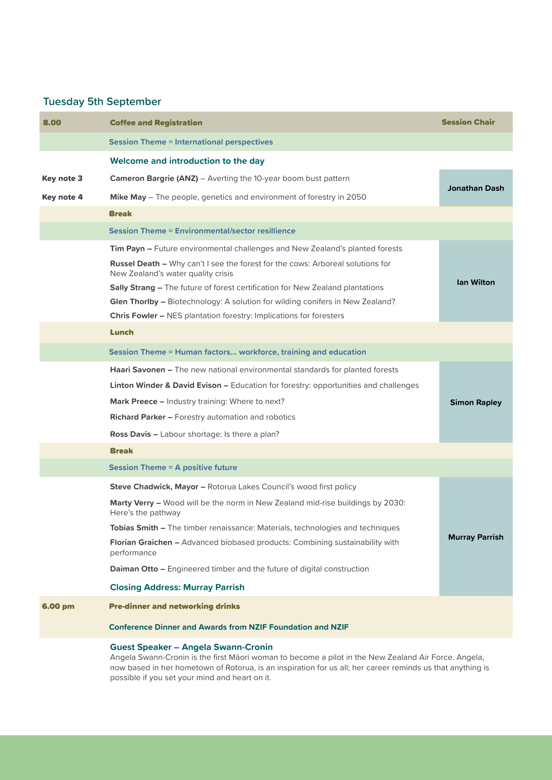# **Tuesday 5th September**

| 8.00       | <b>Coffee and Registration</b>                                                                                                                                                                                                                                                                                                                                                                                                                                                                     | <b>Session Chair</b>  |  |
|------------|----------------------------------------------------------------------------------------------------------------------------------------------------------------------------------------------------------------------------------------------------------------------------------------------------------------------------------------------------------------------------------------------------------------------------------------------------------------------------------------------------|-----------------------|--|
|            | <b>Session Theme = International perspectives</b>                                                                                                                                                                                                                                                                                                                                                                                                                                                  |                       |  |
|            | Welcome and introduction to the day                                                                                                                                                                                                                                                                                                                                                                                                                                                                |                       |  |
| Key note 3 | <b>Cameron Bargrie (ANZ)</b> – Averting the 10-year boom bust pattern                                                                                                                                                                                                                                                                                                                                                                                                                              | <b>Jonathan Dash</b>  |  |
| Key note 4 | Mike May - The people, genetics and environment of forestry in 2050                                                                                                                                                                                                                                                                                                                                                                                                                                |                       |  |
|            | <b>Break</b>                                                                                                                                                                                                                                                                                                                                                                                                                                                                                       |                       |  |
|            | <b>Session Theme = Environmental/sector resillience</b>                                                                                                                                                                                                                                                                                                                                                                                                                                            |                       |  |
|            | Tim Payn - Future environmental challenges and New Zealand's planted forests<br><b>Russel Death - Why can't I see the forest for the cows: Arboreal solutions for</b><br>New Zealand's water quality crisis<br><b>Sally Strang - The future of forest certification for New Zealand plantations</b><br><b>Glen Thorlby - Biotechnology: A solution for wilding conifers in New Zealand?</b><br><b>Chris Fowler - NES plantation forestry: Implications for foresters</b>                           | <b>Ian Wilton</b>     |  |
|            | Lunch                                                                                                                                                                                                                                                                                                                                                                                                                                                                                              |                       |  |
|            | Session Theme = Human factors workforce, training and education                                                                                                                                                                                                                                                                                                                                                                                                                                    |                       |  |
|            | <b>Haari Savonen –</b> The new national environmental standards for planted forests<br><b>Linton Winder &amp; David Evison - Education for forestry: opportunities and challenges</b><br><b>Mark Preece - Industry training: Where to next?</b><br><b>Richard Parker - Forestry automation and robotics</b><br>Ross Davis - Labour shortage: Is there a plan?                                                                                                                                      | <b>Simon Rapley</b>   |  |
|            | <b>Break</b>                                                                                                                                                                                                                                                                                                                                                                                                                                                                                       |                       |  |
|            | <b>Session Theme = A positive future</b>                                                                                                                                                                                                                                                                                                                                                                                                                                                           |                       |  |
|            | Steve Chadwick, Mayor - Rotorua Lakes Council's wood first policy<br><b>Marty Verry -</b> Wood will be the norm in New Zealand mid-rise buildings by 2030:<br>Here's the pathway<br>Tobias Smith - The timber renaissance: Materials, technologies and techniques<br><b>Florian Graichen –</b> Advanced biobased products: Combining sustainability with<br>performance<br><b>Daiman Otto - Engineered timber and the future of digital construction</b><br><b>Closing Address: Murray Parrish</b> | <b>Murray Parrish</b> |  |
| 6.00 pm    | <b>Pre-dinner and networking drinks</b><br><b>Conference Dinner and Awards from NZIF Foundation and NZIF</b>                                                                                                                                                                                                                                                                                                                                                                                       |                       |  |
|            | <b>Guest Speaker - Angela Swann-Cronin</b>                                                                                                                                                                                                                                                                                                                                                                                                                                                         |                       |  |

Angela Swann-Cronin is the first Māori woman to become a pilot in the New Zealand Air Force. Angela, now based in her hometown of Rotorua, is an inspiration for us all; her career reminds us that anything is possible if you set your mind and heart on it.